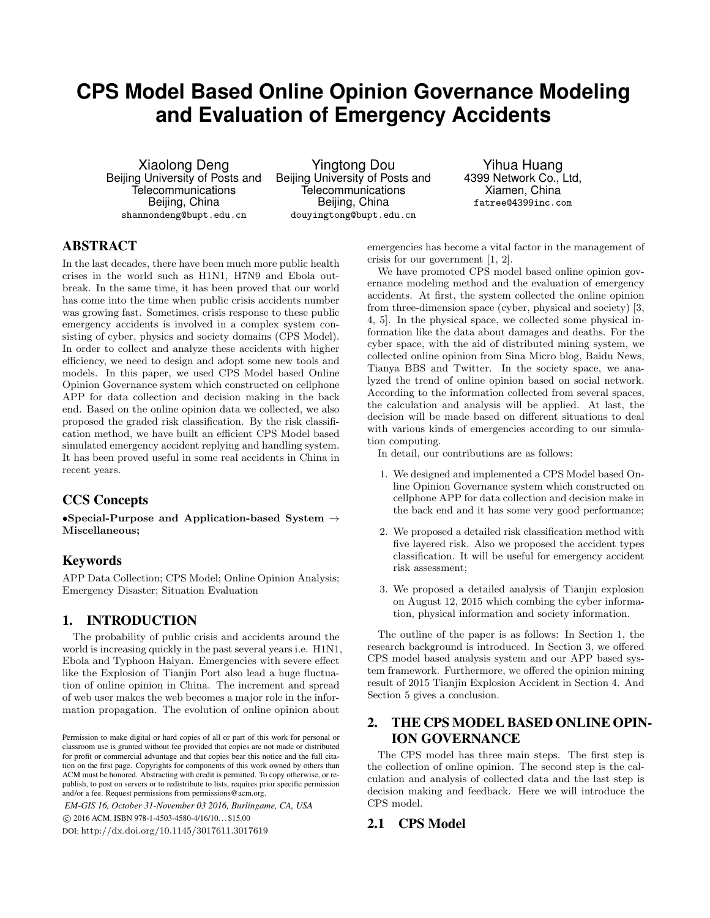# **CPS Model Based Online Opinion Governance Modeling and Evaluation of Emergency Accidents**

Xiaolong Deng Beijing University of Posts and **Telecommunications** Beijing, China shannondeng@bupt.edu.cn

Yingtong Dou Beijing University of Posts and **Telecommunications** Beijing, China douyingtong@bupt.edu.cn

Yihua Huang 4399 Network Co., Ltd, Xiamen, China fatree@4399inc.com

# ABSTRACT

In the last decades, there have been much more public health crises in the world such as H1N1, H7N9 and Ebola outbreak. In the same time, it has been proved that our world has come into the time when public crisis accidents number was growing fast. Sometimes, crisis response to these public emergency accidents is involved in a complex system consisting of cyber, physics and society domains (CPS Model). In order to collect and analyze these accidents with higher efficiency, we need to design and adopt some new tools and models. In this paper, we used CPS Model based Online Opinion Governance system which constructed on cellphone APP for data collection and decision making in the back end. Based on the online opinion data we collected, we also proposed the graded risk classification. By the risk classification method, we have built an efficient CPS Model based simulated emergency accident replying and handling system. It has been proved useful in some real accidents in China in recent years.

# CCS Concepts

•Special-Purpose and Application-based System  $\rightarrow$ Miscellaneous;

# Keywords

APP Data Collection; CPS Model; Online Opinion Analysis; Emergency Disaster; Situation Evaluation

# 1. INTRODUCTION

The probability of public crisis and accidents around the world is increasing quickly in the past several years i.e. H1N1, Ebola and Typhoon Haiyan. Emergencies with severe effect like the Explosion of Tianjin Port also lead a huge fluctuation of online opinion in China. The increment and spread of web user makes the web becomes a major role in the information propagation. The evolution of online opinion about

*EM-GIS 16, October 31-November 03 2016, Burlingame, CA, USA* c 2016 ACM. ISBN 978-1-4503-4580-4/16/10. . . \$15.00 DOI: http://dx.doi.org/10.1145/3017611.3017619

emergencies has become a vital factor in the management of crisis for our government [1, 2].

We have promoted CPS model based online opinion governance modeling method and the evaluation of emergency accidents. At first, the system collected the online opinion from three-dimension space (cyber, physical and society) [3, 4, 5]. In the physical space, we collected some physical information like the data about damages and deaths. For the cyber space, with the aid of distributed mining system, we collected online opinion from Sina Micro blog, Baidu News, Tianya BBS and Twitter. In the society space, we analyzed the trend of online opinion based on social network. According to the information collected from several spaces, the calculation and analysis will be applied. At last, the decision will be made based on different situations to deal with various kinds of emergencies according to our simulation computing.

In detail, our contributions are as follows:

- 1. We designed and implemented a CPS Model based Online Opinion Governance system which constructed on cellphone APP for data collection and decision make in the back end and it has some very good performance;
- 2. We proposed a detailed risk classification method with five layered risk. Also we proposed the accident types classification. It will be useful for emergency accident risk assessment;
- 3. We proposed a detailed analysis of Tianjin explosion on August 12, 2015 which combing the cyber information, physical information and society information.

The outline of the paper is as follows: In Section 1, the research background is introduced. In Section 3, we offered CPS model based analysis system and our APP based system framework. Furthermore, we offered the opinion mining result of 2015 Tianjin Explosion Accident in Section 4. And Section 5 gives a conclusion.

# 2. THE CPS MODEL BASED ONLINE OPIN-ION GOVERNANCE

The CPS model has three main steps. The first step is the collection of online opinion. The second step is the calculation and analysis of collected data and the last step is decision making and feedback. Here we will introduce the CPS model.

# 2.1 CPS Model

Permission to make digital or hard copies of all or part of this work for personal or classroom use is granted without fee provided that copies are not made or distributed for profit or commercial advantage and that copies bear this notice and the full citation on the first page. Copyrights for components of this work owned by others than ACM must be honored. Abstracting with credit is permitted. To copy otherwise, or republish, to post on servers or to redistribute to lists, requires prior specific permission and/or a fee. Request permissions from permissions@acm.org.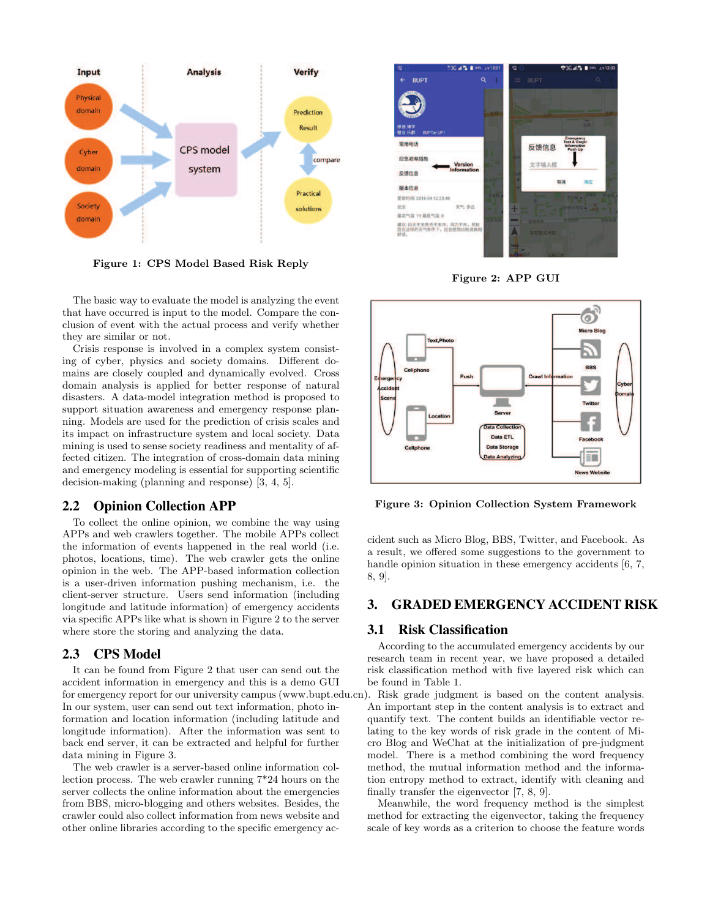

Figure 1: CPS Model Based Risk Reply

The basic way to evaluate the model is analyzing the event that have occurred is input to the model. Compare the conclusion of event with the actual process and verify whether they are similar or not.

Crisis response is involved in a complex system consisting of cyber, physics and society domains. Different domains are closely coupled and dynamically evolved. Cross domain analysis is applied for better response of natural disasters. A data-model integration method is proposed to support situation awareness and emergency response planning. Models are used for the prediction of crisis scales and its impact on infrastructure system and local society. Data mining is used to sense society readiness and mentality of affected citizen. The integration of cross-domain data mining and emergency modeling is essential for supporting scientific decision-making (planning and response) [3, 4, 5].

#### 2.2 Opinion Collection APP

To collect the online opinion, we combine the way using APPs and web crawlers together. The mobile APPs collect the information of events happened in the real world (i.e. photos, locations, time). The web crawler gets the online opinion in the web. The APP-based information collection is a user-driven information pushing mechanism, i.e. the client-server structure. Users send information (including longitude and latitude information) of emergency accidents via specific APPs like what is shown in Figure 2 to the server where store the storing and analyzing the data.

#### 2.3 CPS Model

It can be found from Figure 2 that user can send out the accident information in emergency and this is a demo GUI for emergency report for our university campus (www.bupt.edu.cn). Risk grade judgment is based on the content analysis. In our system, user can send out text information, photo information and location information (including latitude and longitude information). After the information was sent to back end server, it can be extracted and helpful for further data mining in Figure 3.

The web crawler is a server-based online information collection process. The web crawler running 7\*24 hours on the server collects the online information about the emergencies from BBS, micro-blogging and others websites. Besides, the crawler could also collect information from news website and other online libraries according to the specific emergency ac-



Figure 2: APP GUI



Figure 3: Opinion Collection System Framework

cident such as Micro Blog, BBS, Twitter, and Facebook. As a result, we offered some suggestions to the government to handle opinion situation in these emergency accidents [6, 7, 8, 9].

## 3. GRADED EMERGENCY ACCIDENT RISK

#### 3.1 Risk Classification

According to the accumulated emergency accidents by our research team in recent year, we have proposed a detailed risk classification method with five layered risk which can be found in Table 1.

An important step in the content analysis is to extract and quantify text. The content builds an identifiable vector relating to the key words of risk grade in the content of Micro Blog and WeChat at the initialization of pre-judgment model. There is a method combining the word frequency method, the mutual information method and the information entropy method to extract, identify with cleaning and finally transfer the eigenvector [7, 8, 9].

Meanwhile, the word frequency method is the simplest method for extracting the eigenvector, taking the frequency scale of key words as a criterion to choose the feature words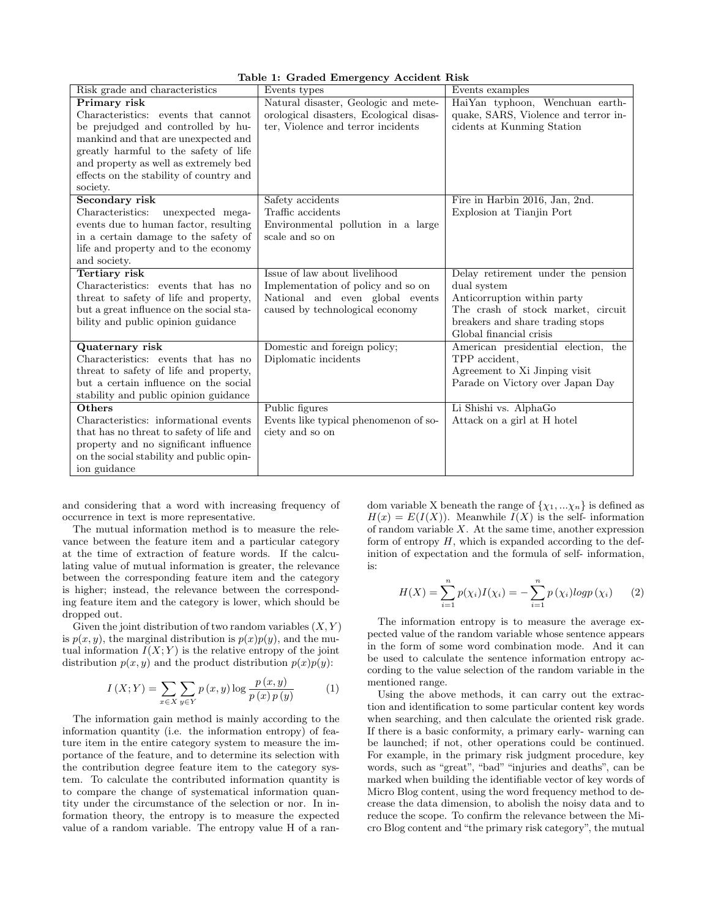| Table 1: Graded Emergency Accident Risk |  |  |  |  |  |
|-----------------------------------------|--|--|--|--|--|
|-----------------------------------------|--|--|--|--|--|

|                                          | Lable 1: Graded Emergency Accident Risk |                                      |
|------------------------------------------|-----------------------------------------|--------------------------------------|
| Risk grade and characteristics           | Events types                            | Events examples                      |
| Primary risk                             | Natural disaster, Geologic and mete-    | HaiYan typhoon, Wenchuan earth-      |
| Characteristics: events that cannot      | orological disasters, Ecological disas- | quake, SARS, Violence and terror in- |
| be prejudged and controlled by hu-       | ter, Violence and terror incidents      | cidents at Kunming Station           |
| mankind and that are unexpected and      |                                         |                                      |
| greatly harmful to the safety of life    |                                         |                                      |
| and property as well as extremely bed    |                                         |                                      |
| effects on the stability of country and  |                                         |                                      |
| society.                                 |                                         |                                      |
| Secondary risk                           | Safety accidents                        | Fire in Harbin 2016, Jan, 2nd.       |
| Characteristics:<br>unexpected mega-     | Traffic accidents                       | Explosion at Tianjin Port            |
| events due to human factor, resulting    | Environmental pollution in a large      |                                      |
| in a certain damage to the safety of     | scale and so on                         |                                      |
| life and property and to the economy     |                                         |                                      |
| and society.                             |                                         |                                      |
| Tertiary risk                            | Issue of law about livelihood           | Delay retirement under the pension   |
| Characteristics: events that has no      | Implementation of policy and so on      | dual system                          |
| threat to safety of life and property,   | National and even global events         | Anticorruption within party          |
| but a great influence on the social sta- | caused by technological economy         | The crash of stock market, circuit   |
| bility and public opinion guidance       |                                         | breakers and share trading stops     |
|                                          |                                         | Global financial crisis              |
| Quaternary risk                          | Domestic and foreign policy;            | American presidential election, the  |
| Characteristics: events that has no      | Diplomatic incidents                    | TPP accident,                        |
| threat to safety of life and property,   |                                         | Agreement to Xi Jinping visit        |
| but a certain influence on the social    |                                         | Parade on Victory over Japan Day     |
| stability and public opinion guidance    |                                         |                                      |
| Others                                   | Public figures                          | Li Shishi vs. AlphaGo                |
| Characteristics: informational events    | Events like typical phenomenon of so-   | Attack on a girl at H hotel          |
| that has no threat to safety of life and | ciety and so on                         |                                      |
| property and no significant influence    |                                         |                                      |
| on the social stability and public opin- |                                         |                                      |
| ion guidance                             |                                         |                                      |

and considering that a word with increasing frequency of occurrence in text is more representative.

The mutual information method is to measure the relevance between the feature item and a particular category at the time of extraction of feature words. If the calculating value of mutual information is greater, the relevance between the corresponding feature item and the category is higher; instead, the relevance between the corresponding feature item and the category is lower, which should be dropped out.

Given the joint distribution of two random variables  $(X, Y)$ is  $p(x, y)$ , the marginal distribution is  $p(x)p(y)$ , and the mutual information  $I(X; Y)$  is the relative entropy of the joint distribution  $p(x, y)$  and the product distribution  $p(x)p(y)$ :

$$
I(X;Y) = \sum_{x \in X} \sum_{y \in Y} p(x,y) \log \frac{p(x,y)}{p(x)p(y)}
$$
(1)

The information gain method is mainly according to the information quantity (i.e. the information entropy) of feature item in the entire category system to measure the importance of the feature, and to determine its selection with the contribution degree feature item to the category system. To calculate the contributed information quantity is to compare the change of systematical information quantity under the circumstance of the selection or nor. In information theory, the entropy is to measure the expected value of a random variable. The entropy value H of a random variable X beneath the range of  $\{\chi_1, \ldots \chi_n\}$  is defined as  $H(x) = E(I(X))$ . Meanwhile  $I(X)$  is the self-information of random variable  $X$ . At the same time, another expression form of entropy  $H$ , which is expanded according to the definition of expectation and the formula of self- information, is:

$$
H(X) = \sum_{i=1}^{n} p(\chi_i) I(\chi_i) = -\sum_{i=1}^{n} p(\chi_i) log p(\chi_i)
$$
 (2)

The information entropy is to measure the average expected value of the random variable whose sentence appears in the form of some word combination mode. And it can be used to calculate the sentence information entropy according to the value selection of the random variable in the mentioned range.

Using the above methods, it can carry out the extraction and identification to some particular content key words when searching, and then calculate the oriented risk grade. If there is a basic conformity, a primary early- warning can be launched; if not, other operations could be continued. For example, in the primary risk judgment procedure, key words, such as "great", "bad" "injuries and deaths", can be marked when building the identifiable vector of key words of Micro Blog content, using the word frequency method to decrease the data dimension, to abolish the noisy data and to reduce the scope. To confirm the relevance between the Micro Blog content and "the primary risk category", the mutual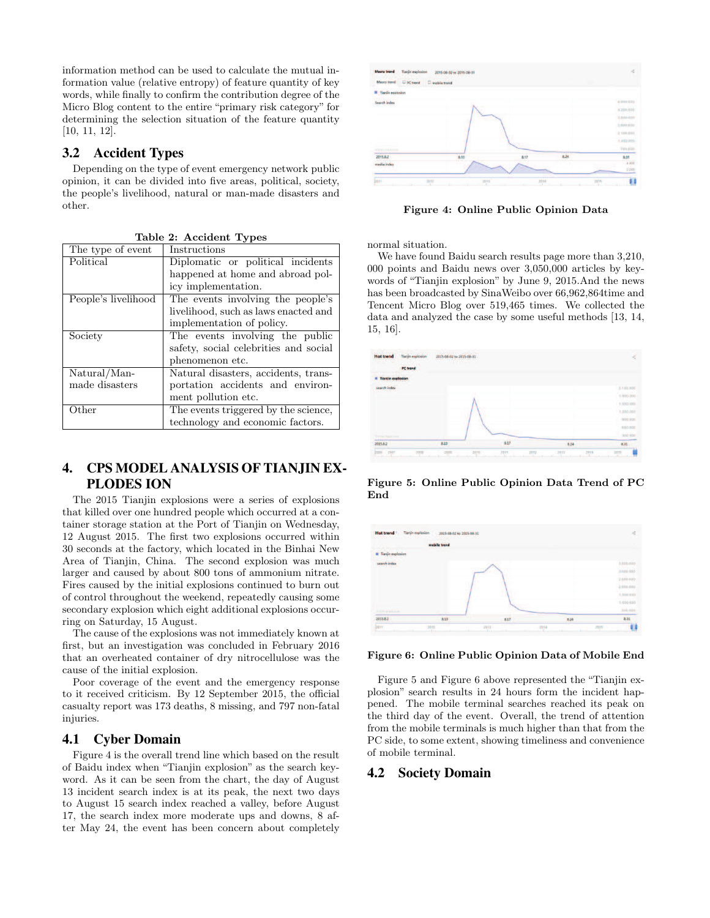information method can be used to calculate the mutual information value (relative entropy) of feature quantity of key words, while finally to confirm the contribution degree of the Micro Blog content to the entire "primary risk category" for determining the selection situation of the feature quantity [10, 11, 12].

# 3.2 Accident Types

Depending on the type of event emergency network public opinion, it can be divided into five areas, political, society, the people's livelihood, natural or man-made disasters and other.

| The type of event   | Instructions                          |
|---------------------|---------------------------------------|
| Political           | Diplomatic or political incidents     |
|                     | happened at home and abroad pol-      |
|                     | icy implementation.                   |
| People's livelihood | The events involving the people's     |
|                     | livelihood, such as laws enacted and  |
|                     | implementation of policy.             |
| Society             | The events involving the public       |
|                     | safety, social celebrities and social |
|                     | phenomenon etc.                       |
| Natural/Man-        | Natural disasters, accidents, trans-  |
| made disasters      | portation accidents and environ-      |
|                     | ment pollution etc.                   |
| Other               | The events triggered by the science,  |
|                     | technology and economic factors.      |

Table 2: Accident Types

# 4. CPS MODEL ANALYSIS OF TIANJIN EX-PLODES ION

The 2015 Tianjin explosions were a series of explosions that killed over one hundred people which occurred at a container storage station at the Port of Tianjin on Wednesday, 12 August 2015. The first two explosions occurred within 30 seconds at the factory, which located in the Binhai New Area of Tianjin, China. The second explosion was much larger and caused by about 800 tons of ammonium nitrate. Fires caused by the initial explosions continued to burn out of control throughout the weekend, repeatedly causing some secondary explosion which eight additional explosions occurring on Saturday, 15 August.

The cause of the explosions was not immediately known at first, but an investigation was concluded in February 2016 that an overheated container of dry nitrocellulose was the cause of the initial explosion.

Poor coverage of the event and the emergency response to it received criticism. By 12 September 2015, the official casualty report was 173 deaths, 8 missing, and 797 non-fatal injuries.

### 4.1 Cyber Domain

Figure 4 is the overall trend line which based on the result of Baidu index when "Tianjin explosion" as the search keyword. As it can be seen from the chart, the day of August 13 incident search index is at its peak, the next two days to August 15 search index reached a valley, before August 17, the search index more moderate ups and downs, 8 after May 24, the event has been concern about completely



Figure 4: Online Public Opinion Data

normal situation.

We have found Baidu search results page more than 3,210, 000 points and Baidu news over 3,050,000 articles by keywords of "Tianjin explosion" by June 9, 2015.And the news has been broadcasted by SinaWeibo over 66,962,864time and Tencent Micro Blog over 519,465 times. We collected the data and analyzed the case by some useful methods [13, 14, 15, 16].



Figure 5: Online Public Opinion Data Trend of PC End



#### Figure 6: Online Public Opinion Data of Mobile End

Figure 5 and Figure 6 above represented the "Tianjin explosion" search results in 24 hours form the incident happened. The mobile terminal searches reached its peak on the third day of the event. Overall, the trend of attention from the mobile terminals is much higher than that from the PC side, to some extent, showing timeliness and convenience of mobile terminal.

#### 4.2 Society Domain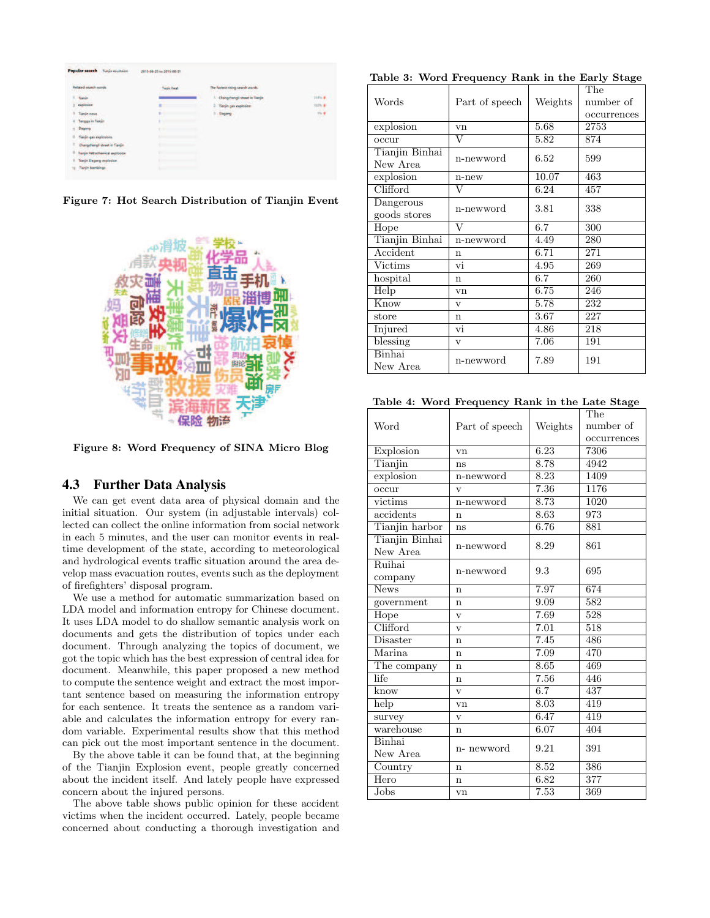| <b>Related search words</b><br><b>PASSESS FLUX AND RESIDENCE</b> | Topic heat<br><b>CONTRACTOR</b>                                                                                                                                                                                                      | The fastest rising search words   | <b>CONTRACTOR</b> |
|------------------------------------------------------------------|--------------------------------------------------------------------------------------------------------------------------------------------------------------------------------------------------------------------------------------|-----------------------------------|-------------------|
| 1. Tianiin                                                       |                                                                                                                                                                                                                                      | 1. Changchengli street in Tiarjin | 314% &            |
| explosion                                                        | ٠<br>_____                                                                                                                                                                                                                           | Tianjin gas explosion<br>ż        | 100%              |
| Tianin news                                                      | <b>Commercial</b><br>٠                                                                                                                                                                                                               | 3 Dagang                          | 78                |
| Tanggu in Tianjin<br>٠                                           | <b>Continued in the Continued State Continued in the Continued State Continued Inc.</b><br>Đ                                                                                                                                         |                                   |                   |
| Dagang                                                           | The contract of the contract of the                                                                                                                                                                                                  |                                   |                   |
| <b>Tianin</b> gas explosions                                     | <b>Distances and Contract Contract of the Contract Office</b>                                                                                                                                                                        |                                   |                   |
| Changchengli street in Tiarrin                                   | distances and the contract of                                                                                                                                                                                                        |                                   |                   |
| ٠<br>lanjin Petrochemical explosion                              | All Processing Contract of the Assessment Con-                                                                                                                                                                                       |                                   |                   |
| Tianjin Dagang explosion<br>9                                    | <b>Continued by Continued by Continued by Continued by Continued by Continued by Continued by Continued by Continued by Continued by Continued by Continued by Continued by Continued by Continued by Continued by Continued by </b> |                                   |                   |
| lianjin bombings<br>10                                           | has a strong of the con-                                                                                                                                                                                                             |                                   |                   |

Figure 7: Hot Search Distribution of Tianjin Event



Figure 8: Word Frequency of SINA Micro Blog

## 4.3 Further Data Analysis

We can get event data area of physical domain and the initial situation. Our system (in adjustable intervals) collected can collect the online information from social network in each 5 minutes, and the user can monitor events in realtime development of the state, according to meteorological and hydrological events traffic situation around the area develop mass evacuation routes, events such as the deployment of firefighters' disposal program.

We use a method for automatic summarization based on LDA model and information entropy for Chinese document. It uses LDA model to do shallow semantic analysis work on documents and gets the distribution of topics under each document. Through analyzing the topics of document, we got the topic which has the best expression of central idea for document. Meanwhile, this paper proposed a new method to compute the sentence weight and extract the most important sentence based on measuring the information entropy for each sentence. It treats the sentence as a random variable and calculates the information entropy for every random variable. Experimental results show that this method can pick out the most important sentence in the document.

By the above table it can be found that, at the beginning of the Tianjin Explosion event, people greatly concerned about the incident itself. And lately people have expressed concern about the injured persons.

The above table shows public opinion for these accident victims when the incident occurred. Lately, people became concerned about conducting a thorough investigation and

Table 3: Word Frequency Rank in the Early Stage

| Words                      | Part of speech          | Weights  | The<br>number of<br>occurrences |
|----------------------------|-------------------------|----------|---------------------------------|
| explosion                  | vn                      | 5.68     | 2753                            |
| occur                      | $\overline{\rm v}$      | 5.82     | 874                             |
| Tianjin Binhai<br>New Area | n-newword               | 6.52     | 599                             |
| explosion                  | n-new                   | 10.07    | 463                             |
| Clifford                   | V                       | 6.24     | 457                             |
| Dangerous<br>goods stores  | n-newword               | 3.81     | 338                             |
| Hope                       | $\overline{V}$          | 6.7      | 300                             |
| Tianjin Binhai             | n-newword               | 4.49     | 280                             |
| Accident                   | n                       | 6.71     | 271                             |
| Victims                    | vi                      | 4.95     | 269                             |
| hospital                   | $\mathbf n$             | 6.7      | 260                             |
| Help                       | vn                      | 6.75     | 246                             |
| Know                       | $\overline{\mathbf{V}}$ | 5.78     | 232                             |
| store                      | $\mathbf n$             | $3.67\,$ | 227                             |
| Injured                    | vi                      | 4.86     | 218                             |
| blessing                   | $\overline{\mathbf{V}}$ | 7.06     | 191                             |
| Binhai<br>New Area         | n-newword               | 7.89     | 191                             |

Table 4: Word Frequency Rank in the Late Stage

| Word                       | Part of speech          | Weights | The<br>number of<br>occurrences |
|----------------------------|-------------------------|---------|---------------------------------|
| Explosion                  | vn                      | 6.23    | 7306                            |
| Tianjin                    | ns                      | 8.78    | 4942                            |
| explosion                  | n-newword               | 8.23    | 1409                            |
| occur                      | $\overline{\mathbf{V}}$ | 7.36    | 1176                            |
| victims                    | n-newword               | 8.73    | 1020                            |
| accidents                  | $\mathbf n$             | 8.63    | 973                             |
| Tianjin harbor             | ns                      | 6.76    | 881                             |
| Tianjin Binhai<br>New Area | n-newword               | 8.29    | 861                             |
| Ruihai<br>company          | n-newword               | 9.3     | 695                             |
| <b>News</b>                | n                       | 7.97    | 674                             |
| government                 | $\mathbf n$             | 9.09    | 582                             |
| Hope                       | $\overline{\mathbf{V}}$ | 7.69    | 528                             |
| Clifford                   | $\overline{\mathbf{V}}$ | 7.01    | 518                             |
| Disaster                   | $\mathbf n$             | 7.45    | 486                             |
| Marina                     | n                       | 7.09    | $\overline{470}$                |
| The company                | $\mathbf n$             | 8.65    | 469                             |
| life                       | n                       | 7.56    | 446                             |
| know                       | $\overline{\mathbf{V}}$ | 6.7     | 437                             |
| help                       | vn                      | 8.03    | 419                             |
| survey                     | V                       | 6.47    | 419                             |
| warehouse                  | n                       | 6.07    | 404                             |
| Binhai<br>New Area         | n- newword              | 9.21    | 391                             |
| Country                    | n                       | 8.52    | 386                             |
| Hero                       | n                       | 6.82    | 377                             |
| Jobs                       | vn                      | 7.53    | 369                             |